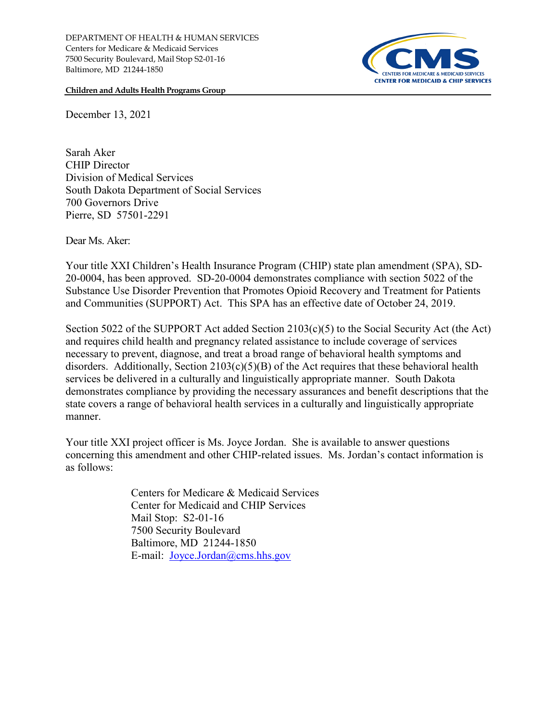

**Children and Adults Health Programs Group**

December 13, 2021

Sarah Aker CHIP Director Division of Medical Services South Dakota Department of Social Services 700 Governors Drive Pierre, SD 57501-2291

Dear Ms. Aker:

Your title XXI Children's Health Insurance Program (CHIP) state plan amendment (SPA), SD-20-0004, has been approved. SD-20-0004 demonstrates compliance with section 5022 of the Substance Use Disorder Prevention that Promotes Opioid Recovery and Treatment for Patients and Communities (SUPPORT) Act. This SPA has an effective date of October 24, 2019.

Section 5022 of the SUPPORT Act added Section 2103(c)(5) to the Social Security Act (the Act) and requires child health and pregnancy related assistance to include coverage of services necessary to prevent, diagnose, and treat a broad range of behavioral health symptoms and disorders. Additionally, Section 2103(c)(5)(B) of the Act requires that these behavioral health services be delivered in a culturally and linguistically appropriate manner. South Dakota demonstrates compliance by providing the necessary assurances and benefit descriptions that the state covers a range of behavioral health services in a culturally and linguistically appropriate manner.

Your title XXI project officer is Ms. Joyce Jordan. She is available to answer questions concerning this amendment and other CHIP-related issues. Ms. Jordan's contact information is as follows:

> Centers for Medicare & Medicaid Services Center for Medicaid and CHIP Services Mail Stop: S2-01-16 7500 Security Boulevard Baltimore, MD 21244-1850 E-mail: [Joyce.Jordan@cms.hhs.gov](mailto:Joyce.Jordan@cms.hhs.gov)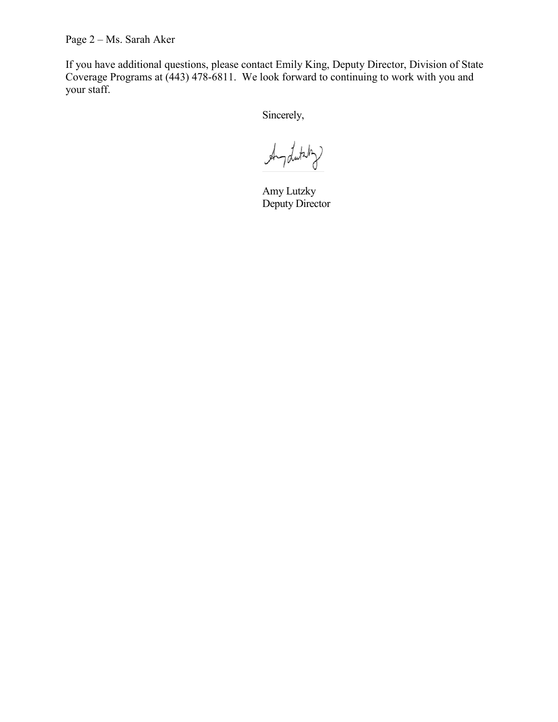Page 2 – Ms. Sarah Aker

If you have additional questions, please contact Emily King, Deputy Director, Division of State Coverage Programs at (443) 478-6811. We look forward to continuing to work with you and your staff.

Sincerely,

Anydutsty

Amy Lutzky Deputy Director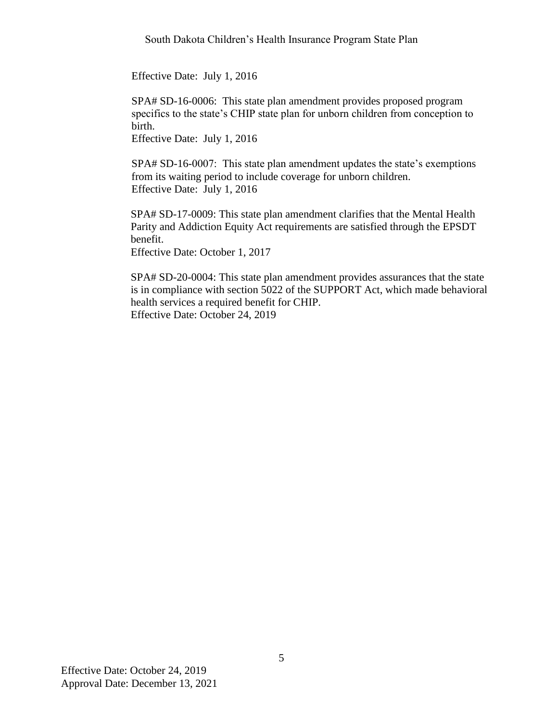Effective Date: July 1, 2016

SPA# SD-16-0006: This state plan amendment provides proposed program specifics to the state's CHIP state plan for unborn children from conception to birth.

Effective Date: July 1, 2016

SPA# SD-16-0007: This state plan amendment updates the state's exemptions from its waiting period to include coverage for unborn children. Effective Date: July 1, 2016

SPA# SD-17-0009: This state plan amendment clarifies that the Mental Health Parity and Addiction Equity Act requirements are satisfied through the EPSDT benefit.

Effective Date: October 1, 2017

SPA# SD-20-0004: This state plan amendment provides assurances that the state is in compliance with section 5022 of the SUPPORT Act, which made behavioral health services a required benefit for CHIP. Effective Date: October 24, 2019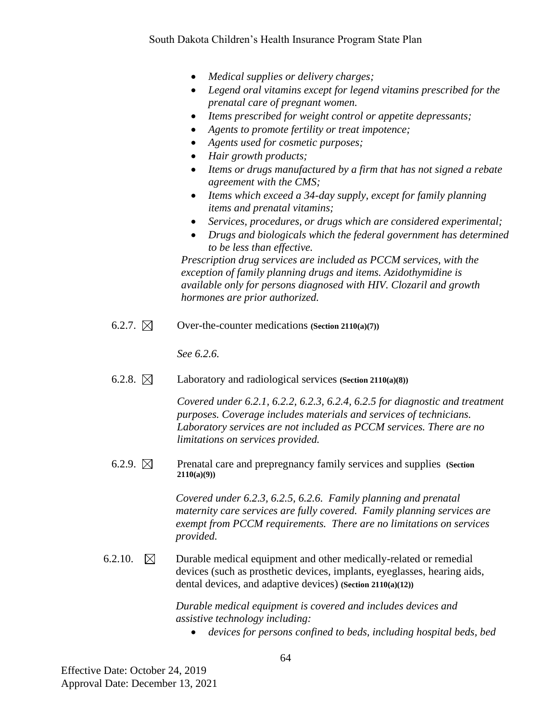- *Medical supplies or delivery charges;*
- *Legend oral vitamins except for legend vitamins prescribed for the prenatal care of pregnant women.*
- *Items prescribed for weight control or appetite depressants;*
- *Agents to promote fertility or treat impotence;*
- *Agents used for cosmetic purposes;*
- *Hair growth products;*
- *Items or drugs manufactured by a firm that has not signed a rebate agreement with the CMS;*
- *Items which exceed a 34-day supply, except for family planning items and prenatal vitamins;*
- *Services, procedures, or drugs which are considered experimental;*
- *Drugs and biologicals which the federal government has determined to be less than effective.*

*Prescription drug services are included as PCCM services, with the exception of family planning drugs and items. Azidothymidine is available only for persons diagnosed with HIV. Clozaril and growth hormones are prior authorized.*

6.2.7.  $\boxtimes$  Over-the-counter medications (Section 2110(a)(7))

*See 6.2.6.*

6.2.8. Laboratory and radiological services **(Section 2110(a)(8))**

*Covered under 6.2.1, 6.2.2, 6.2.3, 6.2.4, 6.2.5 for diagnostic and treatment purposes. Coverage includes materials and services of technicians. Laboratory services are not included as PCCM services. There are no limitations on services provided.*

6.2.9.  $\boxtimes$  Prenatal care and prepregnancy family services and supplies **(Section**) **2110(a)(9))**

> *Covered under 6.2.3, 6.2.5, 6.2.6. Family planning and prenatal maternity care services are fully covered. Family planning services are exempt from PCCM requirements. There are no limitations on services provided.*

6.2.10.  $\boxtimes$  Durable medical equipment and other medically-related or remedial devices (such as prosthetic devices, implants, eyeglasses, hearing aids, dental devices, and adaptive devices) **(Section 2110(a)(12))**

> *Durable medical equipment is covered and includes devices and assistive technology including:*

• *devices for persons confined to beds, including hospital beds, bed*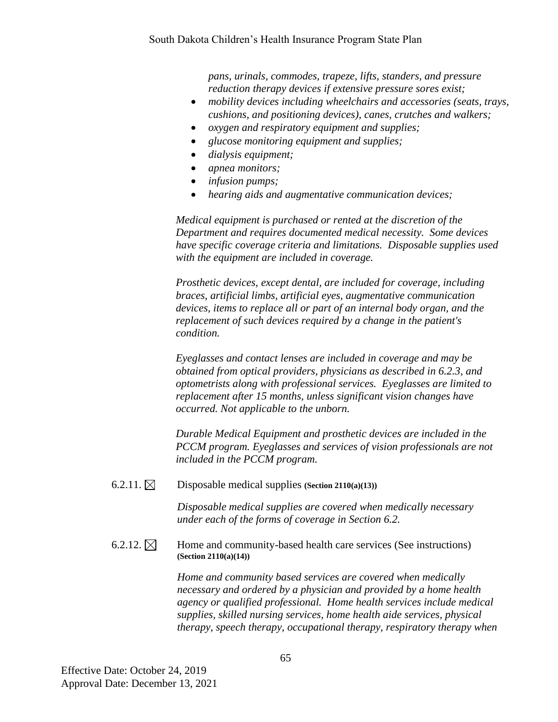*pans, urinals, commodes, trapeze, lifts, standers, and pressure reduction therapy devices if extensive pressure sores exist;*

- *mobility devices including wheelchairs and accessories (seats, trays, cushions, and positioning devices), canes, crutches and walkers;*
- *oxygen and respiratory equipment and supplies;*
- *glucose monitoring equipment and supplies;*
- *dialysis equipment;*
- *apnea monitors;*
- *infusion pumps;*
- *hearing aids and augmentative communication devices;*

*Medical equipment is purchased or rented at the discretion of the Department and requires documented medical necessity. Some devices have specific coverage criteria and limitations. Disposable supplies used with the equipment are included in coverage.*

*Prosthetic devices, except dental, are included for coverage, including braces, artificial limbs, artificial eyes, augmentative communication devices, items to replace all or part of an internal body organ, and the replacement of such devices required by a change in the patient's condition.*

*Eyeglasses and contact lenses are included in coverage and may be obtained from optical providers, physicians as described in 6.2.3, and optometrists along with professional services. Eyeglasses are limited to replacement after 15 months, unless significant vision changes have occurred. Not applicable to the unborn.* 

*Durable Medical Equipment and prosthetic devices are included in the PCCM program. Eyeglasses and services of vision professionals are not included in the PCCM program.*

6.2.11.  $\boxtimes$  Disposable medical supplies **(Section 2110(a)**(13))

*Disposable medical supplies are covered when medically necessary under each of the forms of coverage in Section 6.2.*

6.2.12.  $\boxtimes$  Home and community-based health care services (See instructions) **(Section 2110(a)(14))**

> *Home and community based services are covered when medically necessary and ordered by a physician and provided by a home health agency or qualified professional. Home health services include medical supplies, skilled nursing services, home health aide services, physical therapy, speech therapy, occupational therapy, respiratory therapy when*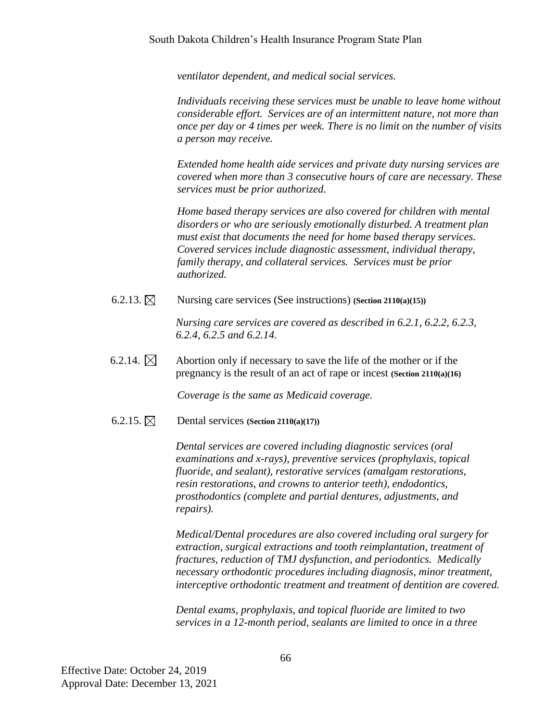*ventilator dependent, and medical social services.*

*Individuals receiving these services must be unable to leave home without considerable effort. Services are of an intermittent nature, not more than once per day or 4 times per week. There is no limit on the number of visits a person may receive.*

*Extended home health aide services and private duty nursing services are covered when more than 3 consecutive hours of care are necessary. These services must be prior authorized.*

*Home based therapy services are also covered for children with mental disorders or who are seriously emotionally disturbed. A treatment plan must exist that documents the need for home based therapy services. Covered services include diagnostic assessment, individual therapy, family therapy, and collateral services. Services must be prior authorized.*

6.2.13.  $\boxtimes$  Nursing care services (See instructions) **(Section 2110(a)**(15))

*Nursing care services are covered as described in 6.2.1, 6.2.2, 6.2.3, 6.2.4, 6.2.5 and 6.2.14.*

6.2.14.  $\boxtimes$  Abortion only if necessary to save the life of the mother or if the pregnancy is the result of an act of rape or incest **(Section 2110(a)(16)**

*Coverage is the same as Medicaid coverage.*

 $6.2.15$ .  $\boxtimes$  Dental services **(Section 2110(a)(17))** 

*Dental services are covered including diagnostic services (oral examinations and x-rays), preventive services (prophylaxis, topical fluoride, and sealant), restorative services (amalgam restorations, resin restorations, and crowns to anterior teeth), endodontics, prosthodontics (complete and partial dentures, adjustments, and repairs).*

*Medical/Dental procedures are also covered including oral surgery for extraction, surgical extractions and tooth reimplantation, treatment of fractures, reduction of TMJ dysfunction, and periodontics. Medically necessary orthodontic procedures including diagnosis, minor treatment, interceptive orthodontic treatment and treatment of dentition are covered.*

*Dental exams, prophylaxis, and topical fluoride are limited to two services in a 12-month period, sealants are limited to once in a three*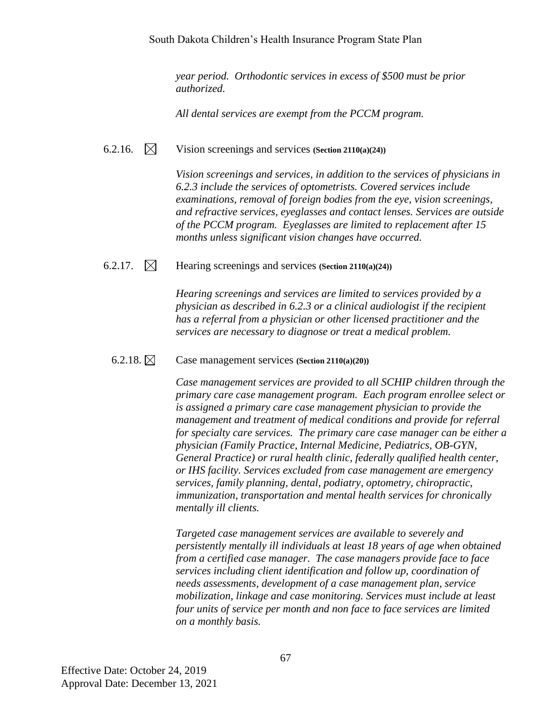*year period. Orthodontic services in excess of \$500 must be prior authorized.*

*All dental services are exempt from the PCCM program.*

6.2.16. Vision screenings and services **(Section 2110(a)(24))**

*Vision screenings and services, in addition to the services of physicians in 6.2.3 include the services of optometrists. Covered services include examinations, removal of foreign bodies from the eye, vision screenings, and refractive services, eyeglasses and contact lenses. Services are outside of the PCCM program. Eyeglasses are limited to replacement after 15 months unless significant vision changes have occurred.*

## 6.2.17. Hearing screenings and services **(Section 2110(a)(24))**

*Hearing screenings and services are limited to services provided by a physician as described in 6.2.3 or a clinical audiologist if the recipient has a referral from a physician or other licensed practitioner and the services are necessary to diagnose or treat a medical problem.*

## 6.2.18. Case management services **(Section 2110(a)(20))**

*Case management services are provided to all SCHIP children through the primary care case management program. Each program enrollee select or is assigned a primary care case management physician to provide the management and treatment of medical conditions and provide for referral for specialty care services. The primary care case manager can be either a physician (Family Practice, Internal Medicine, Pediatrics, OB-GYN, General Practice) or rural health clinic, federally qualified health center, or IHS facility. Services excluded from case management are emergency services, family planning, dental, podiatry, optometry, chiropractic, immunization, transportation and mental health services for chronically mentally ill clients.*

*Targeted case management services are available to severely and persistently mentally ill individuals at least 18 years of age when obtained from a certified case manager. The case managers provide face to face services including client identification and follow up, coordination of needs assessments, development of a case management plan, service mobilization, linkage and case monitoring. Services must include at least four units of service per month and non face to face services are limited on a monthly basis.*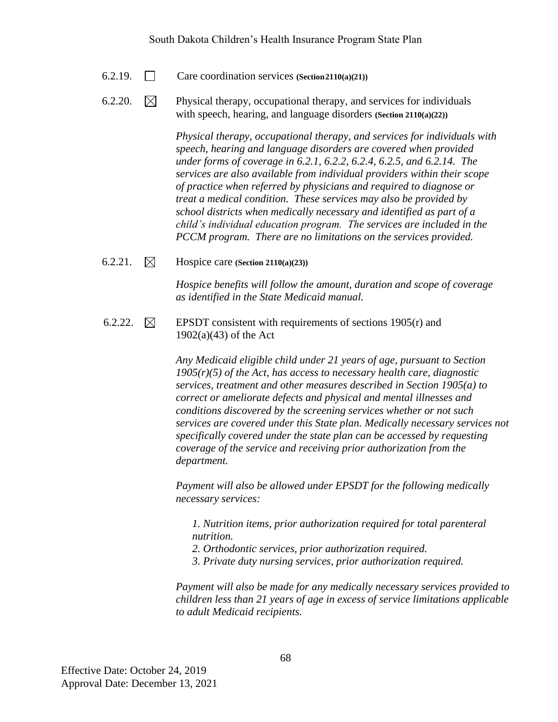- 6.2.19. Care coordination services **(Section2110(a)(21))**
- 6.2.20.  $\boxtimes$  Physical therapy, occupational therapy, and services for individuals with speech, hearing, and language disorders **(Section 2110(a)(22))**

*Physical therapy, occupational therapy, and services for individuals with speech, hearing and language disorders are covered when provided under forms of coverage in 6.2.1, 6.2.2, 6.2.4, 6.2.5, and 6.2.14. The services are also available from individual providers within their scope of practice when referred by physicians and required to diagnose or treat a medical condition. These services may also be provided by school districts when medically necessary and identified as part of a child's individual education program. The services are included in the PCCM program. There are no limitations on the services provided.*

6.2.21. Hospice care **(Section 2110(a)(23))**

*Hospice benefits will follow the amount, duration and scope of coverage as identified in the State Medicaid manual.*

6.2.22.  $\boxtimes$  EPSDT consistent with requirements of sections 1905(r) and 1902(a)(43) of the Act

> *Any Medicaid eligible child under 21 years of age, pursuant to Section 1905(r)(5) of the Act, has access to necessary health care, diagnostic services, treatment and other measures described in Section 1905(a) to correct or ameliorate defects and physical and mental illnesses and conditions discovered by the screening services whether or not such services are covered under this State plan. Medically necessary services not specifically covered under the state plan can be accessed by requesting coverage of the service and receiving prior authorization from the department.*

*Payment will also be allowed under EPSDT for the following medically necessary services:*

*1. Nutrition items, prior authorization required for total parenteral nutrition.*

- *2. Orthodontic services, prior authorization required.*
- *3. Private duty nursing services, prior authorization required.*

*Payment will also be made for any medically necessary services provided to children less than 21 years of age in excess of service limitations applicable to adult Medicaid recipients.*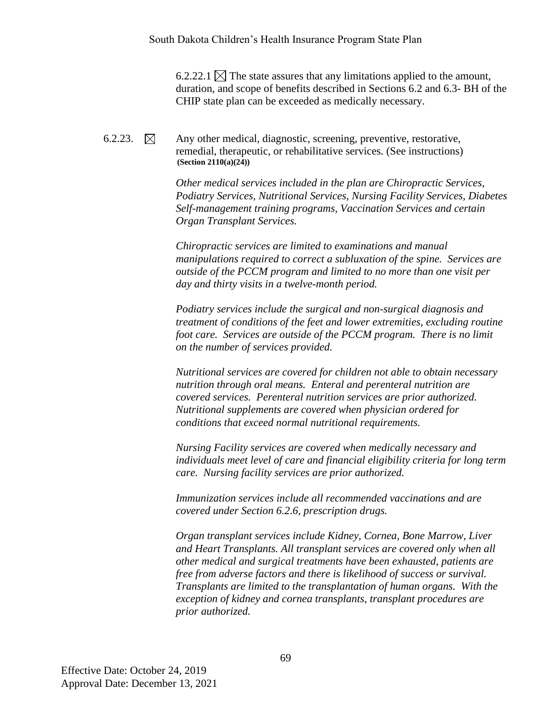6.2.22.1  $\times$  The state assures that any limitations applied to the amount, duration, and scope of benefits described in Sections 6.2 and 6.3- BH of the CHIP state plan can be exceeded as medically necessary.

6.2.23.  $\boxtimes$  Any other medical, diagnostic, screening, preventive, restorative, remedial, therapeutic, or rehabilitative services. (See instructions) **(Section 2110(a)(24))**

> *Other medical services included in the plan are Chiropractic Services, Podiatry Services, Nutritional Services, Nursing Facility Services, Diabetes Self-management training programs, Vaccination Services and certain Organ Transplant Services.*

*Chiropractic services are limited to examinations and manual manipulations required to correct a subluxation of the spine. Services are outside of the PCCM program and limited to no more than one visit per day and thirty visits in a twelve-month period.*

*Podiatry services include the surgical and non-surgical diagnosis and treatment of conditions of the feet and lower extremities, excluding routine foot care. Services are outside of the PCCM program. There is no limit on the number of services provided.*

*Nutritional services are covered for children not able to obtain necessary nutrition through oral means. Enteral and perenteral nutrition are covered services. Perenteral nutrition services are prior authorized. Nutritional supplements are covered when physician ordered for conditions that exceed normal nutritional requirements.*

*Nursing Facility services are covered when medically necessary and individuals meet level of care and financial eligibility criteria for long term care. Nursing facility services are prior authorized.*

*Immunization services include all recommended vaccinations and are covered under Section 6.2.6, prescription drugs.*

*Organ transplant services include Kidney, Cornea, Bone Marrow, Liver and Heart Transplants. All transplant services are covered only when all other medical and surgical treatments have been exhausted, patients are free from adverse factors and there is likelihood of success or survival. Transplants are limited to the transplantation of human organs. With the exception of kidney and cornea transplants, transplant procedures are prior authorized.*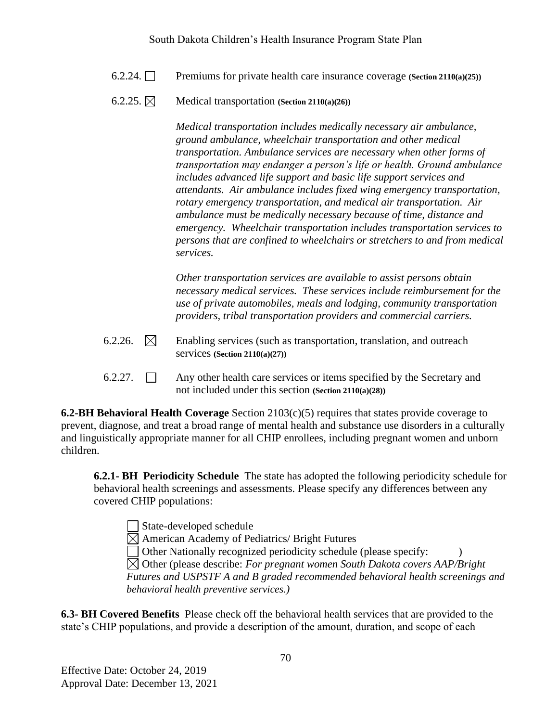- 6.2.24. Premiums for private health care insurance coverage **(Section 2110(a)(25))**
- $6.2.25$ .  $\boxtimes$  **Medical transportation** *(Section 2110(a)(26)*

*Medical transportation includes medically necessary air ambulance, ground ambulance, wheelchair transportation and other medical transportation. Ambulance services are necessary when other forms of transportation may endanger a person's life or health. Ground ambulance includes advanced life support and basic life support services and attendants. Air ambulance includes fixed wing emergency transportation, rotary emergency transportation, and medical air transportation. Air ambulance must be medically necessary because of time, distance and emergency. Wheelchair transportation includes transportation services to persons that are confined to wheelchairs or stretchers to and from medical services.*

*Other transportation services are available to assist persons obtain necessary medical services. These services include reimbursement for the use of private automobiles, meals and lodging, community transportation providers, tribal transportation providers and commercial carriers.*

- 6.2.26.  $\boxtimes$  Enabling services (such as transportation, translation, and outreach services **(Section 2110(a)(27))**
- 6.2.27.  $\Box$  Any other health care services or items specified by the Secretary and not included under this section **(Section 2110(a)(28))**

**6.2-BH Behavioral Health Coverage** Section 2103(c)(5) requires that states provide coverage to prevent, diagnose, and treat a broad range of mental health and substance use disorders in a culturally and linguistically appropriate manner for all CHIP enrollees, including pregnant women and unborn children.

**6.2.1- BH Periodicity Schedule** The state has adopted the following periodicity schedule for behavioral health screenings and assessments. Please specify any differences between any covered CHIP populations:

State-developed schedule  $\boxtimes$  American Academy of Pediatrics/ Bright Futures  $\Box$  Other Nationally recognized periodicity schedule (please specify: Other (please describe: *For pregnant women South Dakota covers AAP/Bright Futures and USPSTF A and B graded recommended behavioral health screenings and behavioral health preventive services.)*

**6.3- BH Covered Benefits** Please check off the behavioral health services that are provided to the state's CHIP populations, and provide a description of the amount, duration, and scope of each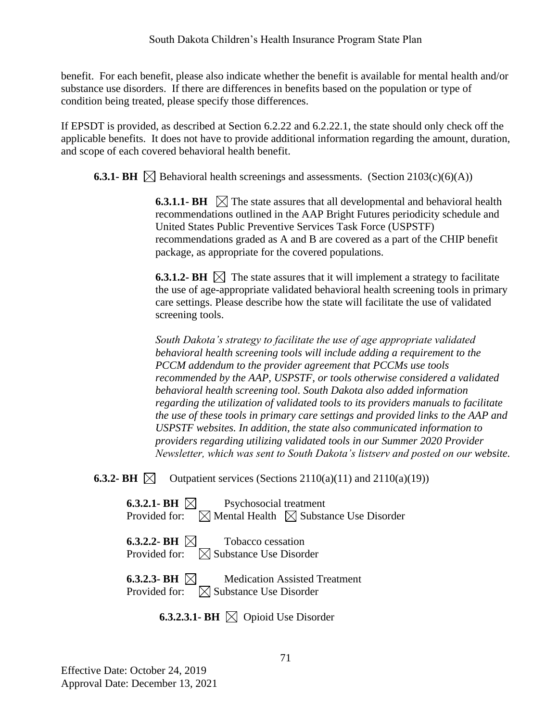benefit. For each benefit, please also indicate whether the benefit is available for mental health and/or substance use disorders. If there are differences in benefits based on the population or type of condition being treated, please specify those differences.

If EPSDT is provided, as described at Section 6.2.22 and 6.2.22.1, the state should only check off the applicable benefits. It does not have to provide additional information regarding the amount, duration, and scope of each covered behavioral health benefit.

**6.3.1- BH**  $\boxtimes$  Behavioral health screenings and assessments. (Section 2103(c)(6)(A))

**6.3.1.1- BH**  $\Box$  The state assures that all developmental and behavioral health recommendations outlined in the AAP Bright Futures periodicity schedule and United States Public Preventive Services Task Force (USPSTF) recommendations graded as A and B are covered as a part of the CHIP benefit package, as appropriate for the covered populations.

**6.3.1.2- BH**  $\boxtimes$  The state assures that it will implement a strategy to facilitate the use of age-appropriate validated behavioral health screening tools in primary care settings. Please describe how the state will facilitate the use of validated screening tools.

*South Dakota's strategy to facilitate the use of age appropriate validated behavioral health screening tools will include adding a requirement to the PCCM addendum to the provider agreement that PCCMs use tools recommended by the AAP, USPSTF, or tools otherwise considered a validated behavioral health screening tool. South Dakota also added information regarding the utilization of validated tools to its providers manuals to facilitate the use of these tools in primary care settings and provided links to the AAP and USPSTF websites. In addition, the state also communicated information to providers regarding utilizing validated tools in our Summer 2020 Provider Newsletter, which was sent to South Dakota's listserv and posted on our website.* 

**6.3.2- BH**  $\boxtimes$  Outpatient services (Sections 2110(a)(11) and 2110(a)(19))

**6.3.2.1- BH**  $\boxtimes$  **P**sychosocial treatment Provided for:  $\boxtimes$  Mental Health  $\boxtimes$  Substance Use Disorder

**6.3.2.2- BH**  $\boxtimes$  **Tobacco cessation** Provided for:  $\boxtimes$  Substance Use Disorder

**6.3.2.3- BH**  $\boxtimes$  Medication Assisted Treatment Provided for:  $\boxtimes$  Substance Use Disorder

**6.3.2.3.1- BH**  $\boxtimes$  Opioid Use Disorder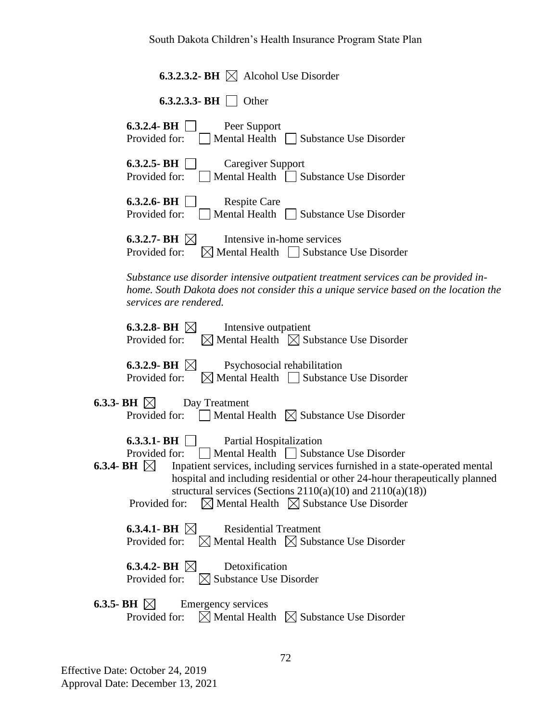| <b>6.3.2.3.2- BH</b> $\boxtimes$ Alcohol Use Disorder                                                                                                                                                                                                                                                                                                                                                                             |
|-----------------------------------------------------------------------------------------------------------------------------------------------------------------------------------------------------------------------------------------------------------------------------------------------------------------------------------------------------------------------------------------------------------------------------------|
| <b>6.3.2.3.3- BH</b> Other                                                                                                                                                                                                                                                                                                                                                                                                        |
| $6.3.2.4$ - BH<br>Peer Support<br>Provided for:<br>Mental Health Substance Use Disorder                                                                                                                                                                                                                                                                                                                                           |
| $6.3.2.5 - BH$<br><b>Caregiver Support</b><br>Provided for:<br>Mental Health Substance Use Disorder                                                                                                                                                                                                                                                                                                                               |
| $6.3.2.6$ - BH<br><b>Respite Care</b><br>Provided for:<br>Mental Health  <br>Substance Use Disorder                                                                                                                                                                                                                                                                                                                               |
| 6.3.2.7- BH $\boxtimes$<br>Intensive in-home services<br>$\boxtimes$ Mental Health $\Box$ Substance Use Disorder<br>Provided for:                                                                                                                                                                                                                                                                                                 |
| Substance use disorder intensive outpatient treatment services can be provided in-<br>home. South Dakota does not consider this a unique service based on the location the<br>services are rendered.                                                                                                                                                                                                                              |
| 6.3.2.8- BH $\boxtimes$<br>Intensive outpatient<br>$\boxtimes$ Mental Health $\boxtimes$ Substance Use Disorder<br>Provided for:                                                                                                                                                                                                                                                                                                  |
| 6.3.2.9- BH $\boxtimes$<br>Psychosocial rehabilitation<br>$\boxtimes$ Mental Health $\Box$ Substance Use Disorder<br>Provided for:                                                                                                                                                                                                                                                                                                |
| 6.3.3- BH $\boxtimes$<br>Day Treatment<br>Provided for: $\Box$ Mental Health $\Box$ Substance Use Disorder                                                                                                                                                                                                                                                                                                                        |
| 6.3.3.1 BH<br>Partial Hospitalization<br>Mental Health Substance Use Disorder<br>Provided for:<br>M<br>Inpatient services, including services furnished in a state-operated mental<br>6.3.4-BH<br>hospital and including residential or other 24-hour therapeutically planned<br>structural services (Sections $2110(a)(10)$ and $2110(a)(18)$ )<br>$\boxtimes$ Mental Health $\boxtimes$ Substance Use Disorder<br>Provided for: |
| 6.3.4.1- BH $\boxtimes$<br><b>Residential Treatment</b><br>Provided for: $\boxtimes$ Mental Health $\boxtimes$ Substance Use Disorder                                                                                                                                                                                                                                                                                             |
| 6.3.4.2- BH $\boxtimes$<br>Detoxification<br>Provided for: $\boxtimes$ Substance Use Disorder                                                                                                                                                                                                                                                                                                                                     |
| 6.3.5- BH $\boxtimes$<br><b>Emergency services</b><br>$\boxtimes$ Mental Health $\boxtimes$ Substance Use Disorder<br>Provided for:                                                                                                                                                                                                                                                                                               |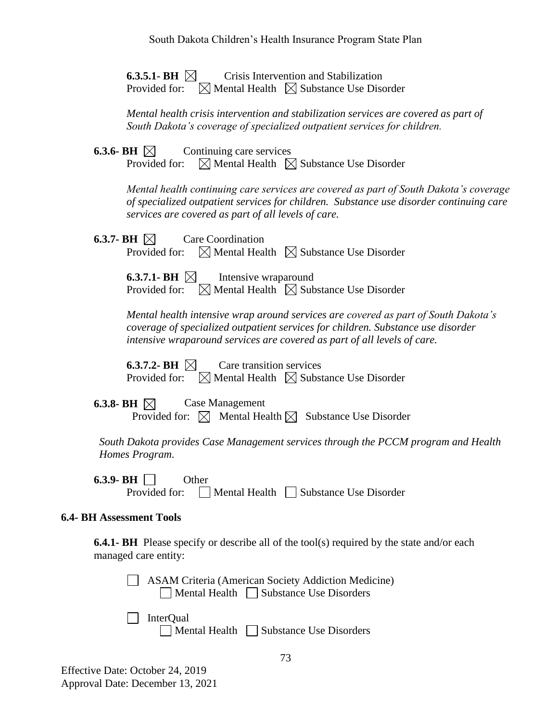**6.3.5.1- BH**  $\boxtimes$  Crisis Intervention and Stabilization Provided for:  $\boxtimes$  Mental Health  $\boxtimes$  Substance Use Disorder

*Mental health crisis intervention and stabilization services are covered as part of South Dakota's coverage of specialized outpatient services for children.*

**6.3.6- BH**  $\bowtie$  Continuing care services Provided for:  $\boxtimes$  Mental Health  $\boxtimes$  Substance Use Disorder

> *Mental health continuing care services are covered as part of South Dakota's coverage of specialized outpatient services for children. Substance use disorder continuing care services are covered as part of all levels of care.*

**6.3.7- BH**  $\boxtimes$  **Care Coordination** Provided for:  $\boxtimes$  Mental Health  $\boxtimes$  Substance Use Disorder

> **6.3.7.1- BH**  $\bowtie$  Intensive wraparound Provided for:  $\boxtimes$  Mental Health  $\boxtimes$  Substance Use Disorder

*Mental health intensive wrap around services are covered as part of South Dakota's coverage of specialized outpatient services for children. Substance use disorder intensive wraparound services are covered as part of all levels of care.*

**6.3.7.2- BH**  $\boxtimes$  **Care transition services** Provided for:  $\boxtimes$  Mental Health  $\boxtimes$  Substance Use Disorder

**6.3.8- BH**  $\boxtimes$  **Case Management** Provided for:  $\boxtimes$  Mental Health  $\boxtimes$  Substance Use Disorder

 *South Dakota provides Case Management services through the PCCM program and Health Homes Program.*

**6.3.9- BH** Other Provided for:  $\Box$  Mental Health  $\Box$  Substance Use Disorder

## **6.4- BH Assessment Tools**

**6.4.1- BH** Please specify or describe all of the tool(s) required by the state and/or each managed care entity:

 ASAM Criteria (American Society Addiction Medicine)  $\Box$  Mental Health  $\Box$  Substance Use Disorders

 $\Box$  InterOual Mental Health Substance Use Disorders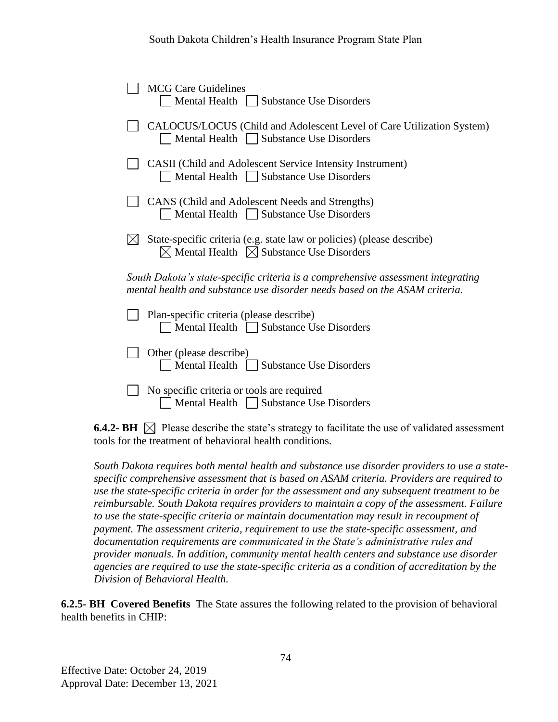| <b>MCG Care Guidelines</b><br>Mental Health    <br><b>Substance Use Disorders</b>                                                                              |
|----------------------------------------------------------------------------------------------------------------------------------------------------------------|
| CALOCUS/LOCUS (Child and Adolescent Level of Care Utilization System)<br>Mental Health Substance Use Disorders                                                 |
| <b>CASII</b> (Child and Adolescent Service Intensity Instrument)<br>Mental Health Substance Use Disorders                                                      |
| CANS (Child and Adolescent Needs and Strengths)<br>Mental Health   Substance Use Disorders                                                                     |
| State-specific criteria (e.g. state law or policies) (please describe)<br>$\boxtimes$ Mental Health $\boxtimes$ Substance Use Disorders                        |
| South Dakota's state-specific criteria is a comprehensive assessment integrating<br>mental health and substance use disorder needs based on the ASAM criteria. |
| Plan-specific criteria (please describe)<br>Mental Health     Substance Use Disorders                                                                          |
| Other (please describe)<br>Mental Health    <br><b>Substance Use Disorders</b>                                                                                 |
| No specific criteria or tools are required<br><b>Substance Use Disorders</b><br>Mental Health                                                                  |

**6.4.2- BH**  $\boxtimes$  Please describe the state's strategy to facilitate the use of validated assessment tools for the treatment of behavioral health conditions.

*South Dakota requires both mental health and substance use disorder providers to use a statespecific comprehensive assessment that is based on ASAM criteria. Providers are required to use the state-specific criteria in order for the assessment and any subsequent treatment to be reimbursable. South Dakota requires providers to maintain a copy of the assessment. Failure to use the state-specific criteria or maintain documentation may result in recoupment of payment. The assessment criteria, requirement to use the state-specific assessment, and documentation requirements are communicated in the State's administrative rules and provider manuals. In addition, community mental health centers and substance use disorder agencies are required to use the state-specific criteria as a condition of accreditation by the Division of Behavioral Health.* 

**6.2.5- BH Covered Benefits** The State assures the following related to the provision of behavioral health benefits in CHIP: